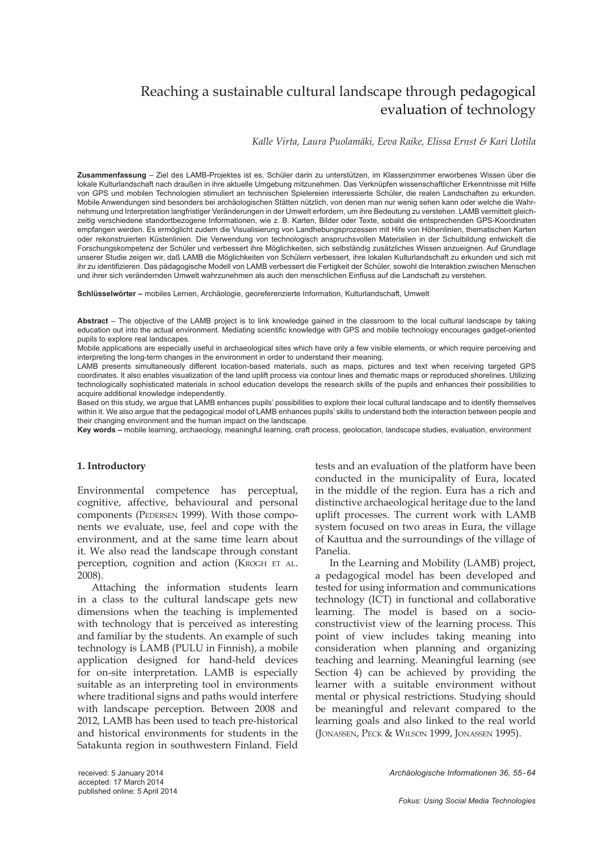# Reaching a sustainable cultural landscape through pedagogical evaluation of technology

*Kalle Virta, Laura Puolamäki, Eeva Raike, Elissa Ernst & Kari Uotila*

**Zusammenfassung** – Ziel des LAMB-Projektes ist es, Schüler darin zu unterstützen, im Klassenzimmer erworbenes Wissen über die lokale Kulturlandschaft nach draußen in ihre aktuelle Umgebung mitzunehmen. Das Verknüpfen wissenschaftlicher Erkenntnisse mit Hilfe von GPS und mobilen Technologien stimuliert an technischen Spielereien interessierte Schüler, die realen Landschaften zu erkunden. Mobile Anwendungen sind besonders bei archäologischen Stätten nützlich, von denen man nur wenig sehen kann oder welche die Wahrnehmung und Interpretation langfristiger Veränderungen in der Umwelt erfordern, um ihre Bedeutung zu verstehen. LAMB vermittelt gleichzeitig verschiedene standortbezogene Informationen, wie z. B. Karten, Bilder oder Texte, sobald die entsprechenden GPS-Koordinaten empfangen werden. Es ermöglicht zudem die Visualisierung von Landhebungsprozessen mit Hife von Höhenlinien, thematischen Karten oder rekonstruierten Küstenlinien. Die Verwendung von technologisch anspruchsvollen Materialien in der Schulbildung entwickelt die Forschungskompetenz der Schüler und verbessert ihre Möglichkeiten, sich selbständig zusätzliches Wissen anzueignen. Auf Grundlage unserer Studie zeigen wir, daß LAMB die Möglichkeiten von Schülern verbessert, ihre lokalen Kulturlandschaft zu erkunden und sich mit ihr zu identifizieren. Das pädagogische Modell von LAMB verbessert die Fertigkeit der Schüler, sowohl die Interaktion zwischen Menschen und ihrer sich verändernden Umwelt wahrzunehmen als auch den menschlichen Einfluss auf die Landschaft zu verstehen.

**Schlüsselwörter –** mobiles Lernen, Archäologie, georeferenzierte Information, Kulturlandschaft, Umwelt

**Abstract** – The objective of the LAMB project is to link knowledge gained in the classroom to the local cultural landscape by taking education out into the actual environment. Mediating scientific knowledge with GPS and mobile technology encourages gadget-oriented pupils to explore real landscapes.

Mobile applications are especially useful in archaeological sites which have only a few visible elements, or which require perceiving and interpreting the long-term changes in the environment in order to understand their meaning.

LAMB presents simultaneously different location-based materials, such as maps, pictures and text when receiving targeted GPS coordinates. It also enables visualization of the land uplift process via contour lines and thematic maps or reproduced shorelines. Utilizing technologically sophisticated materials in school education develops the research skills of the pupils and enhances their possibilities to acquire additional knowledge independently.

Based on this study, we argue that LAMB enhances pupils' possibilities to explore their local cultural landscape and to identify themselves within it. We also argue that the pedagogical model of LAMB enhances pupils' skills to understand both the interaction between people and their changing environment and the human impact on the landscape.

**Key words –** mobile learning, archaeology, meaningful learning, craft process, geolocation, landscape studies, evaluation, environment

#### **1. Introductory**

Environmental competence has perceptual, cognitive, affective, behavioural and personal components (PEDERSEN 1999). With those components we evaluate, use, feel and cope with the environment, and at the same time learn about it. We also read the landscape through constant perception, cognition and action (KROGH ET AL. 2008).

Attaching the information students learn in a class to the cultural landscape gets new dimensions when the teaching is implemented with technology that is perceived as interesting and familiar by the students. An example of such technology is LAMB (PULU in Finnish), a mobile application designed for hand-held devices for on-site interpretation. LAMB is especially suitable as an interpreting tool in environments where traditional signs and paths would interfere with landscape perception. Between 2008 and 2012, LAMB has been used to teach pre-historical and historical environments for students in the Satakunta region in southwestern Finland. Field tests and an evaluation of the platform have been conducted in the municipality of Eura, located in the middle of the region. Eura has a rich and distinctive archaeological heritage due to the land uplift processes. The current work with LAMB system focused on two areas in Eura, the village of Kauttua and the surroundings of the village of Panelia.

In the Learning and Mobility (LAMB) project, a pedagogical model has been developed and tested for using information and communications technology (ICT) in functional and collaborative learning. The model is based on a socioconstructivist view of the learning process. This point of view includes taking meaning into consideration when planning and organizing teaching and learning. Meaningful learning (see Section 4) can be achieved by providing the learner with a suitable environment without mental or physical restrictions. Studying should be meaningful and relevant compared to the learning goals and also linked to the real world (JONASSEN, PECK & WILSON 1999, JONASSEN 1995).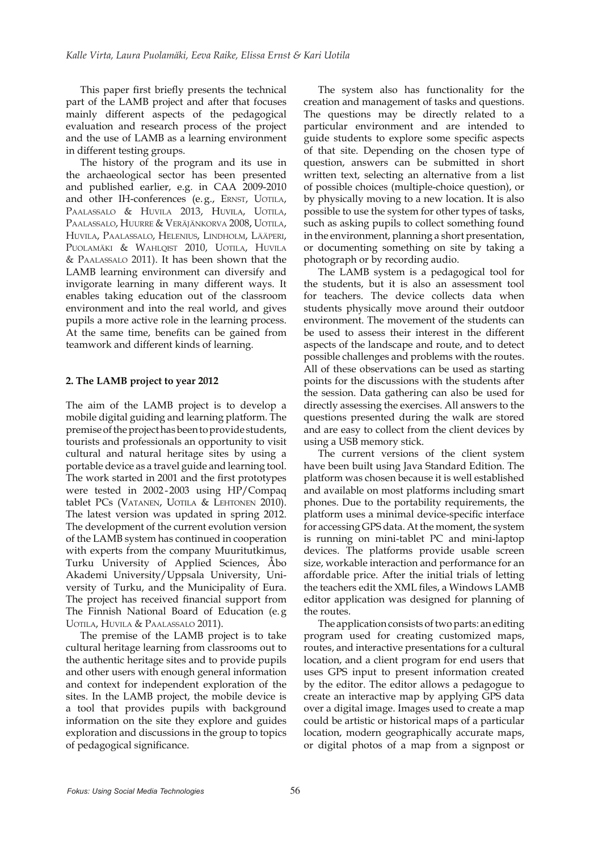This paper first briefly presents the technical part of the LAMB project and after that focuses mainly different aspects of the pedagogical evaluation and research process of the project and the use of LAMB as a learning environment in different testing groups.

The history of the program and its use in the archaeological sector has been presented and published earlier, e.g. in CAA 2009-2010 and other IH-conferences (e. g., ERNST, UOTILA, PAALASSALO & HUVILA 2013, HUVILA, UOTILA, PAALASSALO, HUURRE & VERÄJÄNKORVA 2008, UOTILA, HUVILA, PAALASSALO, HELENIUS, LINDHOLM, LÄÄPERI, PUOLAMÄKI & WAHLQIST 2010, UOTILA, HUVILA & PAALASSALO 2011). It has been shown that the LAMB learning environment can diversify and invigorate learning in many different ways. It enables taking education out of the classroom environment and into the real world, and gives pupils a more active role in the learning process. At the same time, benefits can be gained from teamwork and different kinds of learning.

#### **2. The LAMB project to year 2012**

The aim of the LAMB project is to develop a mobile digital guiding and learning platform. The premise of the project has been to provide students, tourists and professionals an opportunity to visit cultural and natural heritage sites by using a portable device as a travel guide and learning tool. The work started in 2001 and the first prototypes were tested in 2002-2003 using HP/Compaq tablet PCs (VATANEN, UOTILA & LEHTONEN 2010). The latest version was updated in spring 2012. The development of the current evolution version of the LAMB system has continued in cooperation with experts from the company Muuritutkimus, Turku University of Applied Sciences, Åbo Akademi University/Uppsala University, University of Turku, and the Municipality of Eura. The project has received financial support from The Finnish National Board of Education (e. g UOTILA, HUVILA & PAALASSALO 2011).

The premise of the LAMB project is to take cultural heritage learning from classrooms out to the authentic heritage sites and to provide pupils and other users with enough general information and context for independent exploration of the sites. In the LAMB project, the mobile device is a tool that provides pupils with background information on the site they explore and guides exploration and discussions in the group to topics of pedagogical significance.

The system also has functionality for the creation and management of tasks and questions. The questions may be directly related to a particular environment and are intended to guide students to explore some specific aspects of that site. Depending on the chosen type of question, answers can be submitted in short written text, selecting an alternative from a list of possible choices (multiple-choice question), or by physically moving to a new location. It is also possible to use the system for other types of tasks, such as asking pupils to collect something found in the environment, planning a short presentation, or documenting something on site by taking a photograph or by recording audio.

The LAMB system is a pedagogical tool for the students, but it is also an assessment tool for teachers. The device collects data when students physically move around their outdoor environment. The movement of the students can be used to assess their interest in the different aspects of the landscape and route, and to detect possible challenges and problems with the routes. All of these observations can be used as starting points for the discussions with the students after the session. Data gathering can also be used for directly assessing the exercises. All answers to the questions presented during the walk are stored and are easy to collect from the client devices by using a USB memory stick.

The current versions of the client system have been built using Java Standard Edition. The platform was chosen because it is well established and available on most platforms including smart phones. Due to the portability requirements, the platform uses a minimal device-specific interface for accessing GPS data. At the moment, the system is running on mini-tablet PC and mini-laptop devices. The platforms provide usable screen size, workable interaction and performance for an affordable price. After the initial trials of letting the teachers edit the XML files, a Windows LAMB editor application was designed for planning of the routes.

The application consists of two parts: an editing program used for creating customized maps, routes, and interactive presentations for a cultural location, and a client program for end users that uses GPS input to present information created by the editor. The editor allows a pedagogue to create an interactive map by applying GPS data over a digital image. Images used to create a map could be artistic or historical maps of a particular location, modern geographically accurate maps, or digital photos of a map from a signpost or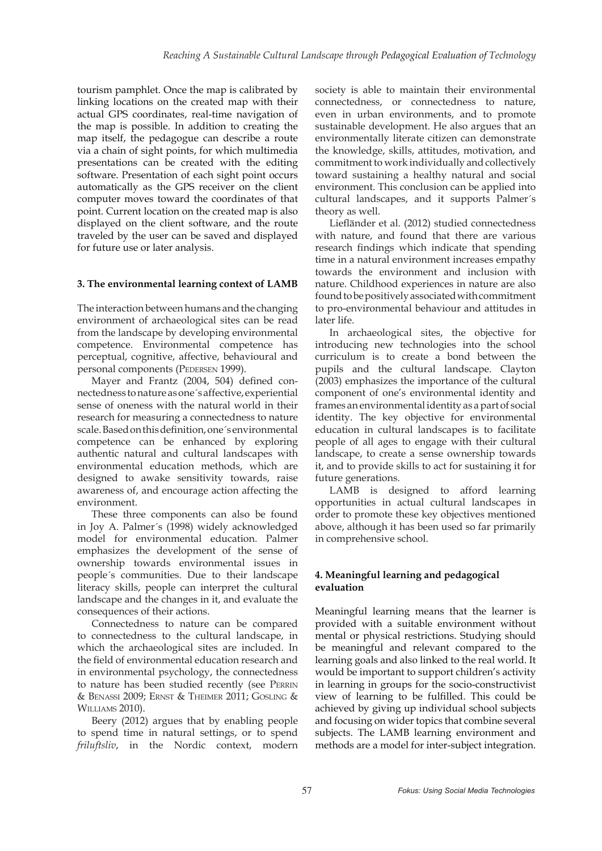tourism pamphlet. Once the map is calibrated by linking locations on the created map with their actual GPS coordinates, real-time navigation of the map is possible. In addition to creating the map itself, the pedagogue can describe a route via a chain of sight points, for which multimedia presentations can be created with the editing software. Presentation of each sight point occurs automatically as the GPS receiver on the client computer moves toward the coordinates of that point. Current location on the created map is also displayed on the client software, and the route traveled by the user can be saved and displayed for future use or later analysis.

#### **3. The environmental learning context of LAMB**

The interaction between humans and the changing environment of archaeological sites can be read from the landscape by developing environmental competence. Environmental competence has perceptual, cognitive, affective, behavioural and personal components (PEDERSEN 1999).

Mayer and Frantz (2004, 504) defined connectedness to nature as one´s affective, experiential sense of oneness with the natural world in their research for measuring a connectedness to nature scale. Based on this definition, one´s environmental competence can be enhanced by exploring authentic natural and cultural landscapes with environmental education methods, which are designed to awake sensitivity towards, raise awareness of, and encourage action affecting the environment.

These three components can also be found in Joy A. Palmer´s (1998) widely acknowledged model for environmental education. Palmer emphasizes the development of the sense of ownership towards environmental issues in people´s communities. Due to their landscape literacy skills, people can interpret the cultural landscape and the changes in it, and evaluate the consequences of their actions.

Connectedness to nature can be compared to connectedness to the cultural landscape, in which the archaeological sites are included. In the field of environmental education research and in environmental psychology, the connectedness to nature has been studied recently (see PERRIN & BENASSI 2009; ERNST & THEIMER 2011; GOSLING & WILLIAMS 2010).

Beery (2012) argues that by enabling people to spend time in natural settings, or to spend *friluftsliv*, in the Nordic context, modern society is able to maintain their environmental connectedness, or connectedness to nature, even in urban environments, and to promote sustainable development. He also argues that an environmentally literate citizen can demonstrate the knowledge, skills, attitudes, motivation, and commitment to work individually and collectively toward sustaining a healthy natural and social environment. This conclusion can be applied into cultural landscapes, and it supports Palmer´s theory as well.

Liefländer et al. (2012) studied connectedness with nature, and found that there are various research findings which indicate that spending time in a natural environment increases empathy towards the environment and inclusion with nature. Childhood experiences in nature are also found to be positively associated with commitment to pro-environmental behaviour and attitudes in later life.

In archaeological sites, the objective for introducing new technologies into the school curriculum is to create a bond between the pupils and the cultural landscape. Clayton (2003) emphasizes the importance of the cultural component of one's environmental identity and frames an environmental identity as a part of social identity. The key objective for environmental education in cultural landscapes is to facilitate people of all ages to engage with their cultural landscape, to create a sense ownership towards it, and to provide skills to act for sustaining it for future generations.

LAMB is designed to afford learning opportunities in actual cultural landscapes in order to promote these key objectives mentioned above, although it has been used so far primarily in comprehensive school.

# **4. Meaningful learning and pedagogical evaluation**

Meaningful learning means that the learner is provided with a suitable environment without mental or physical restrictions. Studying should be meaningful and relevant compared to the learning goals and also linked to the real world. It would be important to support children's activity in learning in groups for the socio-constructivist view of learning to be fulfilled. This could be achieved by giving up individual school subjects and focusing on wider topics that combine several subjects. The LAMB learning environment and methods are a model for inter-subject integration.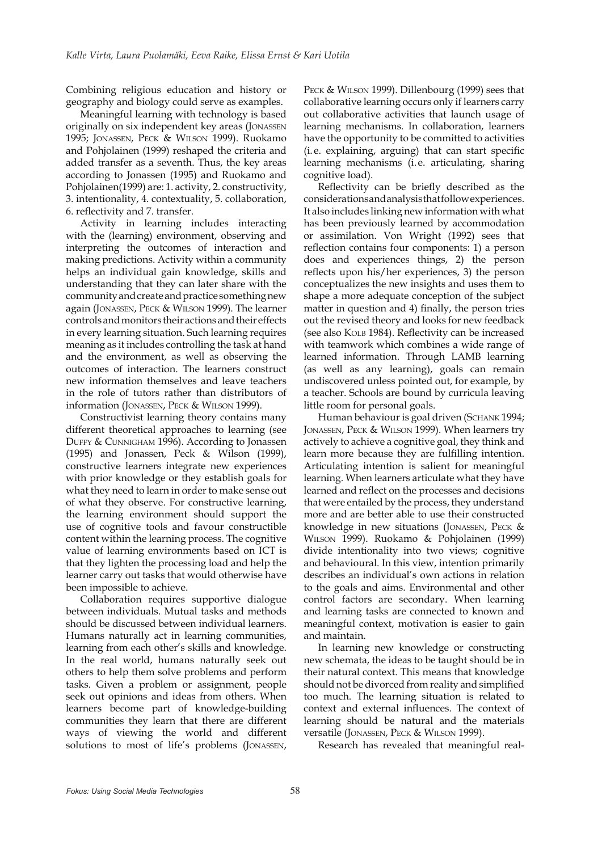Combining religious education and history or geography and biology could serve as examples.

Meaningful learning with technology is based originally on six independent key areas (JONASSEN 1995; JONASSEN, PECK & WILSON 1999). Ruokamo and Pohjolainen (1999) reshaped the criteria and added transfer as a seventh. Thus, the key areas according to Jonassen (1995) and Ruokamo and Pohjolainen(1999) are: 1. activity, 2. constructivity, 3. intentionality, 4. contextuality, 5. collaboration, 6. reflectivity and 7. transfer.

Activity in learning includes interacting with the (learning) environment, observing and interpreting the outcomes of interaction and making predictions. Activity within a community helps an individual gain knowledge, skills and understanding that they can later share with the community and create and practice something new again (JONASSEN, PECK & WILSON 1999). The learner controls and monitors their actions and their effects in every learning situation. Such learning requires meaning as it includes controlling the task at hand and the environment, as well as observing the outcomes of interaction. The learners construct new information themselves and leave teachers in the role of tutors rather than distributors of information (JONASSEN, PECK & WILSON 1999).

Constructivist learning theory contains many different theoretical approaches to learning (see DUFFY & CUNNIGHAM 1996). According to Jonassen (1995) and Jonassen, Peck & Wilson (1999), constructive learners integrate new experiences with prior knowledge or they establish goals for what they need to learn in order to make sense out of what they observe. For constructive learning, the learning environment should support the use of cognitive tools and favour constructible content within the learning process. The cognitive value of learning environments based on ICT is that they lighten the processing load and help the learner carry out tasks that would otherwise have been impossible to achieve.

Collaboration requires supportive dialogue between individuals. Mutual tasks and methods should be discussed between individual learners. Humans naturally act in learning communities, learning from each other's skills and knowledge. In the real world, humans naturally seek out others to help them solve problems and perform tasks. Given a problem or assignment, people seek out opinions and ideas from others. When learners become part of knowledge-building communities they learn that there are different ways of viewing the world and different solutions to most of life's problems (JONASSEN,

PECK & WILSON 1999). Dillenbourg (1999) sees that collaborative learning occurs only if learners carry out collaborative activities that launch usage of learning mechanisms. In collaboration, learners have the opportunity to be committed to activities (i. e. explaining, arguing) that can start specific learning mechanisms (i. e. articulating, sharing cognitive load).

Reflectivity can be briefly described as the considerations and analysis that follow experiences. It also includes linking new information with what has been previously learned by accommodation or assimilation. Von Wright (1992) sees that reflection contains four components: 1) a person does and experiences things, 2) the person reflects upon his/her experiences, 3) the person conceptualizes the new insights and uses them to shape a more adequate conception of the subject matter in question and 4) finally, the person tries out the revised theory and looks for new feedback (see also KOLB 1984). Reflectivity can be increased with teamwork which combines a wide range of learned information. Through LAMB learning (as well as any learning), goals can remain undiscovered unless pointed out, for example, by a teacher. Schools are bound by curricula leaving little room for personal goals.

Human behaviour is goal driven (SCHANK 1994; JONASSEN, PECK & WILSON 1999). When learners try actively to achieve a cognitive goal, they think and learn more because they are fulfilling intention. Articulating intention is salient for meaningful learning. When learners articulate what they have learned and reflect on the processes and decisions that were entailed by the process, they understand more and are better able to use their constructed knowledge in new situations (JONASSEN, PECK & WILSON 1999). Ruokamo & Pohjolainen (1999) divide intentionality into two views; cognitive and behavioural. In this view, intention primarily describes an individual's own actions in relation to the goals and aims. Environmental and other control factors are secondary. When learning and learning tasks are connected to known and meaningful context, motivation is easier to gain and maintain.

In learning new knowledge or constructing new schemata, the ideas to be taught should be in their natural context. This means that knowledge should not be divorced from reality and simplified too much. The learning situation is related to context and external influences. The context of learning should be natural and the materials versatile (JONASSEN, PECK & WILSON 1999).

Research has revealed that meaningful real-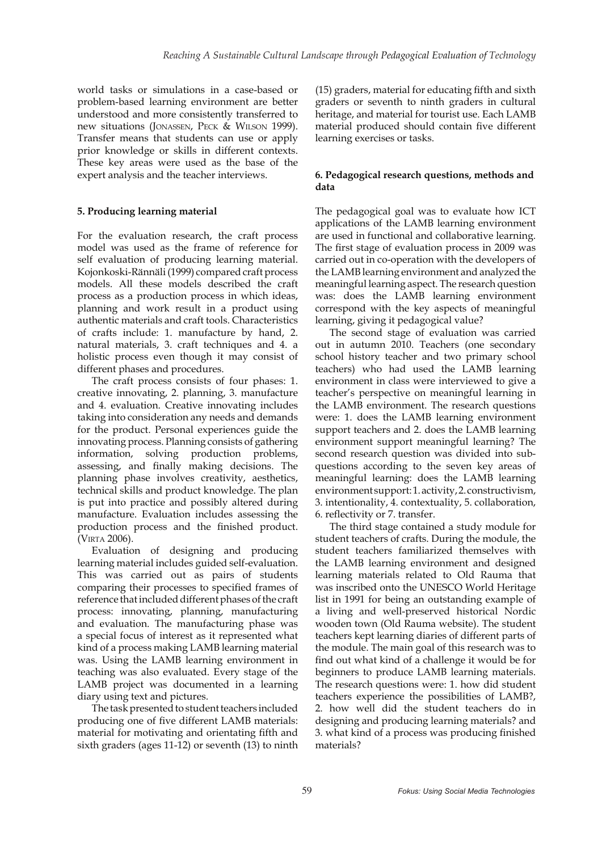world tasks or simulations in a case-based or problem-based learning environment are better understood and more consistently transferred to new situations (JONASSEN, PECK & WILSON 1999). Transfer means that students can use or apply prior knowledge or skills in different contexts. These key areas were used as the base of the expert analysis and the teacher interviews.

# **5. Producing learning material**

For the evaluation research, the craft process model was used as the frame of reference for self evaluation of producing learning material. Kojonkoski-Rännäli (1999) compared craft process models. All these models described the craft process as a production process in which ideas, planning and work result in a product using authentic materials and craft tools. Characteristics of crafts include: 1. manufacture by hand, 2. natural materials, 3. craft techniques and 4. a holistic process even though it may consist of different phases and procedures.

The craft process consists of four phases: 1. creative innovating, 2. planning, 3. manufacture and 4. evaluation. Creative innovating includes taking into consideration any needs and demands for the product. Personal experiences guide the innovating process. Planning consists of gathering information, solving production problems, assessing, and finally making decisions. The planning phase involves creativity, aesthetics, technical skills and product knowledge. The plan is put into practice and possibly altered during manufacture. Evaluation includes assessing the production process and the finished product. (VIRTA 2006).

Evaluation of designing and producing learning material includes guided self-evaluation. This was carried out as pairs of students comparing their processes to specified frames of reference that included different phases of the craft process: innovating, planning, manufacturing and evaluation. The manufacturing phase was a special focus of interest as it represented what kind of a process making LAMB learning material was. Using the LAMB learning environment in teaching was also evaluated. Every stage of the LAMB project was documented in a learning diary using text and pictures.

The task presented to student teachers included producing one of five different LAMB materials: material for motivating and orientating fifth and sixth graders (ages 11-12) or seventh (13) to ninth (15) graders, material for educating fifth and sixth graders or seventh to ninth graders in cultural heritage, and material for tourist use. Each LAMB material produced should contain five different learning exercises or tasks.

## **6. Pedagogical research questions, methods and data**

The pedagogical goal was to evaluate how ICT applications of the LAMB learning environment are used in functional and collaborative learning. The first stage of evaluation process in 2009 was carried out in co-operation with the developers of the LAMB learning environment and analyzed the meaningful learning aspect. The research question was: does the LAMB learning environment correspond with the key aspects of meaningful learning, giving it pedagogical value?

The second stage of evaluation was carried out in autumn 2010. Teachers (one secondary school history teacher and two primary school teachers) who had used the LAMB learning environment in class were interviewed to give a teacher's perspective on meaningful learning in the LAMB environment. The research questions were: 1. does the LAMB learning environment support teachers and 2. does the LAMB learning environment support meaningful learning? The second research question was divided into subquestions according to the seven key areas of meaningful learning: does the LAMB learning environment support: 1. activity, 2. constructivism, 3. intentionality, 4. contextuality, 5. collaboration, 6. reflectivity or 7. transfer.

The third stage contained a study module for student teachers of crafts. During the module, the student teachers familiarized themselves with the LAMB learning environment and designed learning materials related to Old Rauma that was inscribed onto the UNESCO World Heritage list in 1991 for being an outstanding example of a living and well-preserved historical Nordic wooden town (Old Rauma website). The student teachers kept learning diaries of different parts of the module. The main goal of this research was to find out what kind of a challenge it would be for beginners to produce LAMB learning materials. The research questions were: 1. how did student teachers experience the possibilities of LAMB?, 2. how well did the student teachers do in designing and producing learning materials? and 3. what kind of a process was producing finished materials?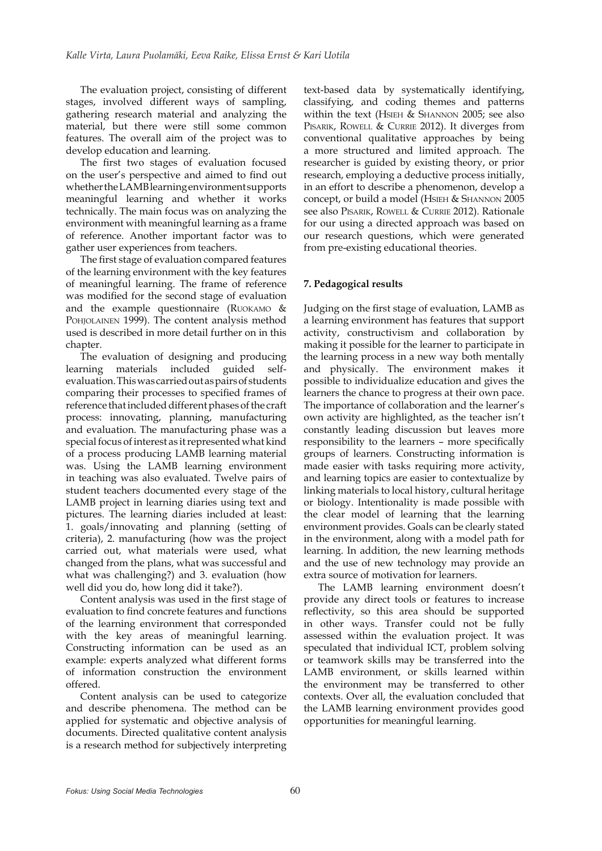The evaluation project, consisting of different stages, involved different ways of sampling, gathering research material and analyzing the material, but there were still some common features. The overall aim of the project was to develop education and learning.

The first two stages of evaluation focused on the user's perspective and aimed to find out whether the LAMB learning environment supports meaningful learning and whether it works technically. The main focus was on analyzing the environment with meaningful learning as a frame of reference. Another important factor was to gather user experiences from teachers.

The first stage of evaluation compared features of the learning environment with the key features of meaningful learning. The frame of reference was modified for the second stage of evaluation and the example questionnaire (RUOKAMO  $&$ POHJOLAINEN 1999). The content analysis method used is described in more detail further on in this chapter.

The evaluation of designing and producing learning materials included guided selfevaluation. This was carried out as pairs of students comparing their processes to specified frames of reference that included different phases of the craft process: innovating, planning, manufacturing and evaluation. The manufacturing phase was a special focus of interest as it represented what kind of a process producing LAMB learning material was. Using the LAMB learning environment in teaching was also evaluated. Twelve pairs of student teachers documented every stage of the LAMB project in learning diaries using text and pictures. The learning diaries included at least: 1. goals/innovating and planning (setting of criteria), 2. manufacturing (how was the project carried out, what materials were used, what changed from the plans, what was successful and what was challenging?) and 3. evaluation (how well did you do, how long did it take?).

Content analysis was used in the first stage of evaluation to find concrete features and functions of the learning environment that corresponded with the key areas of meaningful learning. Constructing information can be used as an example: experts analyzed what different forms of information construction the environment offered.

Content analysis can be used to categorize and describe phenomena. The method can be applied for systematic and objective analysis of documents. Directed qualitative content analysis is a research method for subjectively interpreting

text-based data by systematically identifying, classifying, and coding themes and patterns within the text (HSIEH & SHANNON 2005; see also PISARIK, ROWELL & CURRIE 2012). It diverges from conventional qualitative approaches by being a more structured and limited approach. The researcher is guided by existing theory, or prior research, employing a deductive process initially, in an effort to describe a phenomenon, develop a concept, or build a model (HSIEH & SHANNON 2005 see also PISARIK, ROWELL & CURRIE 2012). Rationale for our using a directed approach was based on our research questions, which were generated from pre-existing educational theories.

## **7. Pedagogical results**

Judging on the first stage of evaluation, LAMB as a learning environment has features that support activity, constructivism and collaboration by making it possible for the learner to participate in the learning process in a new way both mentally and physically. The environment makes it possible to individualize education and gives the learners the chance to progress at their own pace. The importance of collaboration and the learner's own activity are highlighted, as the teacher isn't constantly leading discussion but leaves more responsibility to the learners – more specifically groups of learners. Constructing information is made easier with tasks requiring more activity, and learning topics are easier to contextualize by linking materials to local history, cultural heritage or biology. Intentionality is made possible with the clear model of learning that the learning environment provides. Goals can be clearly stated in the environment, along with a model path for learning. In addition, the new learning methods and the use of new technology may provide an extra source of motivation for learners.

The LAMB learning environment doesn't provide any direct tools or features to increase reflectivity, so this area should be supported in other ways. Transfer could not be fully assessed within the evaluation project. It was speculated that individual ICT, problem solving or teamwork skills may be transferred into the LAMB environment, or skills learned within the environment may be transferred to other contexts. Over all, the evaluation concluded that the LAMB learning environment provides good opportunities for meaningful learning.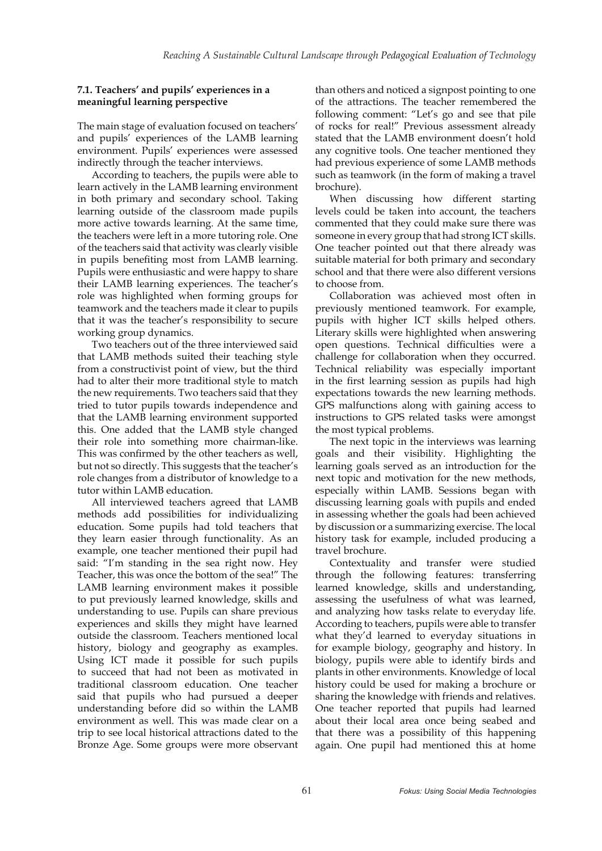## **7.1. Teachers' and pupils' experiences in a meaningful learning perspective**

The main stage of evaluation focused on teachers' and pupils' experiences of the LAMB learning environment. Pupils' experiences were assessed indirectly through the teacher interviews.

According to teachers, the pupils were able to learn actively in the LAMB learning environment in both primary and secondary school. Taking learning outside of the classroom made pupils more active towards learning. At the same time, the teachers were left in a more tutoring role. One of the teachers said that activity was clearly visible in pupils benefiting most from LAMB learning. Pupils were enthusiastic and were happy to share their LAMB learning experiences. The teacher's role was highlighted when forming groups for teamwork and the teachers made it clear to pupils that it was the teacher's responsibility to secure working group dynamics.

Two teachers out of the three interviewed said that LAMB methods suited their teaching style from a constructivist point of view, but the third had to alter their more traditional style to match the new requirements. Two teachers said that they tried to tutor pupils towards independence and that the LAMB learning environment supported this. One added that the LAMB style changed their role into something more chairman-like. This was confirmed by the other teachers as well, but not so directly. This suggests that the teacher's role changes from a distributor of knowledge to a tutor within LAMB education.

All interviewed teachers agreed that LAMB methods add possibilities for individualizing education. Some pupils had told teachers that they learn easier through functionality. As an example, one teacher mentioned their pupil had said: "I'm standing in the sea right now. Hey Teacher, this was once the bottom of the sea!" The LAMB learning environment makes it possible to put previously learned knowledge, skills and understanding to use. Pupils can share previous experiences and skills they might have learned outside the classroom. Teachers mentioned local history, biology and geography as examples. Using ICT made it possible for such pupils to succeed that had not been as motivated in traditional classroom education. One teacher said that pupils who had pursued a deeper understanding before did so within the LAMB environment as well. This was made clear on a trip to see local historical attractions dated to the Bronze Age. Some groups were more observant than others and noticed a signpost pointing to one of the attractions. The teacher remembered the following comment: "Let's go and see that pile of rocks for real!" Previous assessment already stated that the LAMB environment doesn't hold any cognitive tools. One teacher mentioned they had previous experience of some LAMB methods such as teamwork (in the form of making a travel brochure).

When discussing how different starting levels could be taken into account, the teachers commented that they could make sure there was someone in every group that had strong ICT skills. One teacher pointed out that there already was suitable material for both primary and secondary school and that there were also different versions to choose from.

Collaboration was achieved most often in previously mentioned teamwork. For example, pupils with higher ICT skills helped others. Literary skills were highlighted when answering open questions. Technical difficulties were a challenge for collaboration when they occurred. Technical reliability was especially important in the first learning session as pupils had high expectations towards the new learning methods. GPS malfunctions along with gaining access to instructions to GPS related tasks were amongst the most typical problems.

The next topic in the interviews was learning goals and their visibility. Highlighting the learning goals served as an introduction for the next topic and motivation for the new methods, especially within LAMB. Sessions began with discussing learning goals with pupils and ended in assessing whether the goals had been achieved by discussion or a summarizing exercise. The local history task for example, included producing a travel brochure.

Contextuality and transfer were studied through the following features: transferring learned knowledge, skills and understanding, assessing the usefulness of what was learned, and analyzing how tasks relate to everyday life. According to teachers, pupils were able to transfer what they'd learned to everyday situations in for example biology, geography and history. In biology, pupils were able to identify birds and plants in other environments. Knowledge of local history could be used for making a brochure or sharing the knowledge with friends and relatives. One teacher reported that pupils had learned about their local area once being seabed and that there was a possibility of this happening again. One pupil had mentioned this at home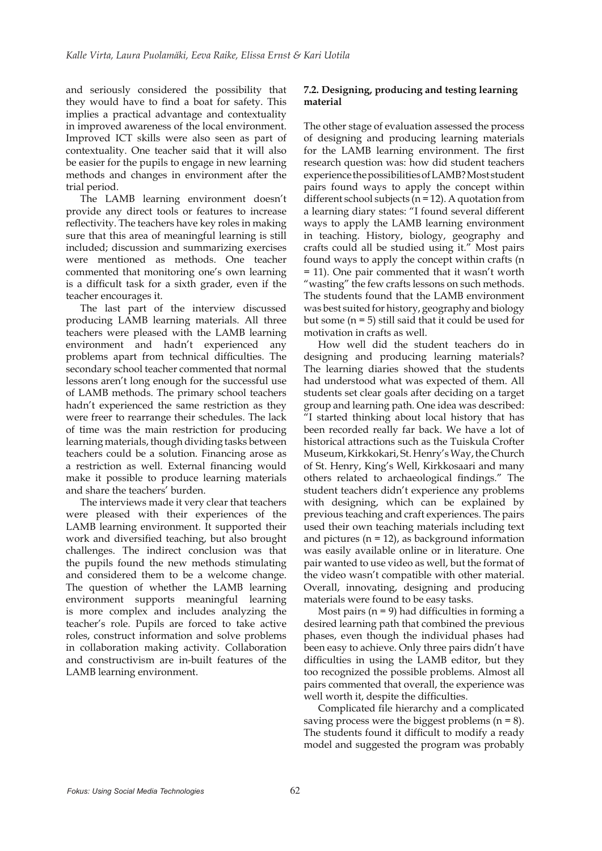and seriously considered the possibility that they would have to find a boat for safety. This implies a practical advantage and contextuality in improved awareness of the local environment. Improved ICT skills were also seen as part of contextuality. One teacher said that it will also be easier for the pupils to engage in new learning methods and changes in environment after the trial period.

The LAMB learning environment doesn't provide any direct tools or features to increase reflectivity. The teachers have key roles in making sure that this area of meaningful learning is still included; discussion and summarizing exercises were mentioned as methods. One teacher commented that monitoring one's own learning is a difficult task for a sixth grader, even if the teacher encourages it.

The last part of the interview discussed producing LAMB learning materials. All three teachers were pleased with the LAMB learning environment and hadn't experienced any problems apart from technical difficulties. The secondary school teacher commented that normal lessons aren't long enough for the successful use of LAMB methods. The primary school teachers hadn't experienced the same restriction as they were freer to rearrange their schedules. The lack of time was the main restriction for producing learning materials, though dividing tasks between teachers could be a solution. Financing arose as a restriction as well. External financing would make it possible to produce learning materials and share the teachers' burden.

The interviews made it very clear that teachers were pleased with their experiences of the LAMB learning environment. It supported their work and diversified teaching, but also brought challenges. The indirect conclusion was that the pupils found the new methods stimulating and considered them to be a welcome change. The question of whether the LAMB learning environment supports meaningful learning is more complex and includes analyzing the teacher's role. Pupils are forced to take active roles, construct information and solve problems in collaboration making activity. Collaboration and constructivism are in-built features of the LAMB learning environment.

## **7.2. Designing, producing and testing learning material**

The other stage of evaluation assessed the process of designing and producing learning materials for the LAMB learning environment. The first research question was: how did student teachers experience the possibilities of LAMB? Most student pairs found ways to apply the concept within different school subjects ( $n = 12$ ). A quotation from a learning diary states: "I found several different ways to apply the LAMB learning environment in teaching. History, biology, geography and crafts could all be studied using it." Most pairs found ways to apply the concept within crafts (n = 11). One pair commented that it wasn't worth "wasting" the few crafts lessons on such methods. The students found that the LAMB environment was best suited for history, geography and biology but some  $(n = 5)$  still said that it could be used for motivation in crafts as well.

How well did the student teachers do in designing and producing learning materials? The learning diaries showed that the students had understood what was expected of them. All students set clear goals after deciding on a target group and learning path. One idea was described: "I started thinking about local history that has been recorded really far back. We have a lot of historical attractions such as the Tuiskula Crofter Museum, Kirkkokari, St. Henry's Way, the Church of St. Henry, King's Well, Kirkkosaari and many others related to archaeological findings." The student teachers didn't experience any problems with designing, which can be explained by previous teaching and craft experiences. The pairs used their own teaching materials including text and pictures  $(n = 12)$ , as background information was easily available online or in literature. One pair wanted to use video as well, but the format of the video wasn't compatible with other material. Overall, innovating, designing and producing materials were found to be easy tasks.

Most pairs  $(n = 9)$  had difficulties in forming a desired learning path that combined the previous phases, even though the individual phases had been easy to achieve. Only three pairs didn't have difficulties in using the LAMB editor, but they too recognized the possible problems. Almost all pairs commented that overall, the experience was well worth it, despite the difficulties.

Complicated file hierarchy and a complicated saving process were the biggest problems  $(n = 8)$ . The students found it difficult to modify a ready model and suggested the program was probably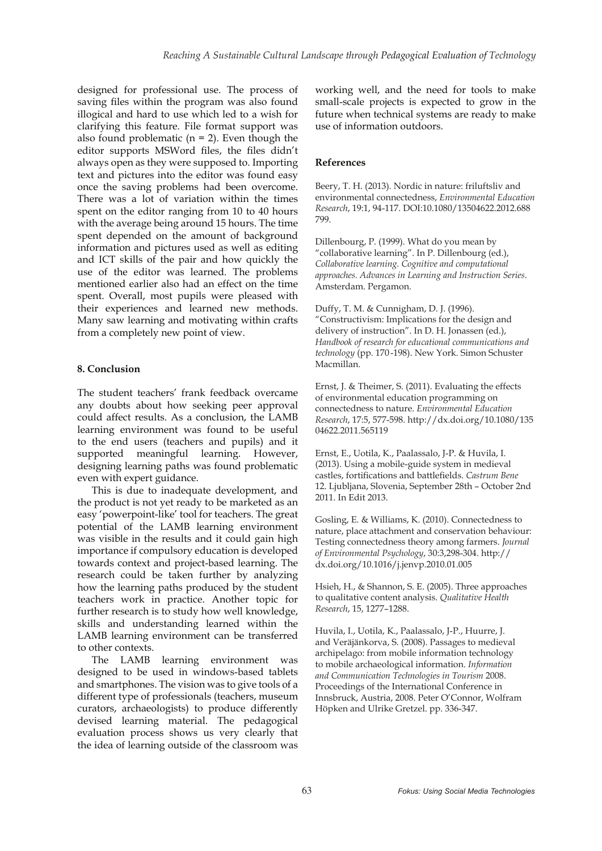designed for professional use. The process of saving files within the program was also found illogical and hard to use which led to a wish for clarifying this feature. File format support was also found problematic  $(n = 2)$ . Even though the editor supports MSWord files, the files didn't always open as they were supposed to. Importing text and pictures into the editor was found easy once the saving problems had been overcome. There was a lot of variation within the times spent on the editor ranging from 10 to 40 hours with the average being around 15 hours. The time spent depended on the amount of background information and pictures used as well as editing and ICT skills of the pair and how quickly the use of the editor was learned. The problems mentioned earlier also had an effect on the time spent. Overall, most pupils were pleased with their experiences and learned new methods. Many saw learning and motivating within crafts from a completely new point of view.

## **8. Conclusion**

The student teachers' frank feedback overcame any doubts about how seeking peer approval could affect results. As a conclusion, the LAMB learning environment was found to be useful to the end users (teachers and pupils) and it supported meaningful learning. However, designing learning paths was found problematic even with expert guidance.

This is due to inadequate development, and the product is not yet ready to be marketed as an easy 'powerpoint-like' tool for teachers. The great potential of the LAMB learning environment was visible in the results and it could gain high importance if compulsory education is developed towards context and project-based learning. The research could be taken further by analyzing how the learning paths produced by the student teachers work in practice. Another topic for further research is to study how well knowledge, skills and understanding learned within the LAMB learning environment can be transferred to other contexts.

The LAMB learning environment was designed to be used in windows-based tablets and smartphones. The vision was to give tools of a different type of professionals (teachers, museum curators, archaeologists) to produce differently devised learning material. The pedagogical evaluation process shows us very clearly that the idea of learning outside of the classroom was working well, and the need for tools to make small-scale projects is expected to grow in the future when technical systems are ready to make use of information outdoors.

#### **References**

Beery, T. H. (2013). Nordic in nature: friluftsliv and environmental connectedness, *Environmental Education Research*, 19:1, 94-117. DOI:10.1080/13504622.2012.688 799.

Dillenbourg, P. (1999). What do you mean by "collaborative learning". In P. Dillenbourg (ed.), *Collaborative learning. Cognitive and computational approaches. Advances in Learning and Instruction Series*. Amsterdam. Pergamon.

Duffy, T. M. & Cunnigham, D. J. (1996). "Constructivism: Implications for the design and delivery of instruction". In D. H. Jonassen (ed.), *Handbook of research for educational communications and technology* (pp. 170 -198). New York. Simon Schuster Macmillan.

Ernst, J. & Theimer, S. (2011). Evaluating the effects of environmental education programming on connectedness to nature. *Environmental Education Research*, 17:5, 577-598. http://dx.doi.org/10.1080/135 04622.2011.565119

Ernst, E., Uotila, K., Paalassalo, J-P. & Huvila, I. (2013). Using a mobile-guide system in medieval castles, fortifications and battlefields. *Castrum Bene* 12. Ljubljana, Slovenia, September 28th – October 2nd 2011. In Edit 2013.

Gosling, E. & Williams, K. (2010). Connectedness to nature, place attachment and conservation behaviour: Testing connectedness theory among farmers. *Journal of Environmental Psychology*, 30:3,298-304. http:// dx.doi.org/10.1016/j.jenvp.2010.01.005

Hsieh, H., & Shannon, S. E. (2005). Three approaches to qualitative content analysis. *Qualitative Health Research*, 15, 1277–1288.

Huvila, I., Uotila, K., Paalassalo, J-P., Huurre, J. and Veräjänkorva, S. (2008). Passages to medieval archipelago: from mobile information technology to mobile archaeological information. *Information and Communication Technologies in Tourism* 2008. Proceedings of the International Conference in Innsbruck, Austria, 2008. Peter O'Connor, Wolfram Höpken and Ulrike Gretzel. pp. 336-347.